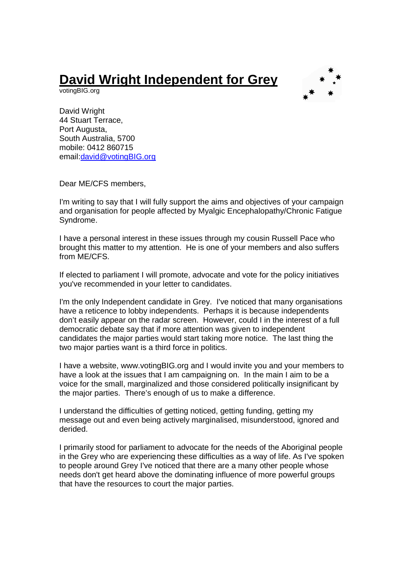## **David Wright Independent for Grey**

votingBIG.org



David Wright 44 Stuart Terrace, Port Augusta, South Australia, 5700 mobile: 0412 860715 email:david@votingBIG.org

Dear ME/CFS members,

I'm writing to say that I will fully support the aims and objectives of your campaign and organisation for people affected by Myalgic Encephalopathy/Chronic Fatigue Syndrome.

I have a personal interest in these issues through my cousin Russell Pace who brought this matter to my attention. He is one of your members and also suffers from ME/CFS.

If elected to parliament I will promote, advocate and vote for the policy initiatives you've recommended in your letter to candidates.

I'm the only Independent candidate in Grey. I've noticed that many organisations have a reticence to lobby independents. Perhaps it is because independents don't easily appear on the radar screen. However, could I in the interest of a full democratic debate say that if more attention was given to independent candidates the major parties would start taking more notice. The last thing the two major parties want is a third force in politics.

I have a website, www.votingBIG.org and I would invite you and your members to have a look at the issues that I am campaigning on. In the main I aim to be a voice for the small, marginalized and those considered politically insignificant by the major parties. There's enough of us to make a difference.

I understand the difficulties of getting noticed, getting funding, getting my message out and even being actively marginalised, misunderstood, ignored and derided.

I primarily stood for parliament to advocate for the needs of the Aboriginal people in the Grey who are experiencing these difficulties as a way of life. As I've spoken to people around Grey I've noticed that there are a many other people whose needs don't get heard above the dominating influence of more powerful groups that have the resources to court the major parties.